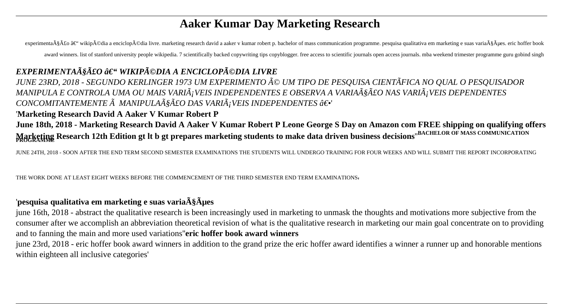# **Aaker Kumar Day Marketing Research**

experimentação – wikipédia a enciclopédia livre. marketing research david a aaker v kumar robert p. bachelor of mass communication programme. pesquisa qualitativa em marketing e suas variações. eric hoffer book award winners. list of stanford university people wikipedia. 7 scientifically backed copywriting tips copyblogger, free access to scientific journals open access journals. mba weekend trimester programme guru gobind singh

## EXPERIMENTAà §Ã£O – WIKIPéDIA A ENCICLOPéDIA LIVRE

JUNE 23RD, 2018 - SEGUNDO KERLINGER 1973 UM EXPERIMENTO ÃO UM TIPO DE PESQUISA CIENTÃFICA NO QUAL O PESQUISADOR MANIPULA E CONTROLA UMA OU MAIS VARIÃ; VEIS INDEPENDENTES E OBSERVA A VARIAÃ SÃ LO NAS VARIÃ; VEIS DEPENDENTES CONCOMITANTEMENTE  $\tilde{A}$  MANIPULA $\tilde{A}$ §Ã£O DAS VARI $\tilde{A}$ ; VEIS INDEPENDENTES ―'

'Marketing Research David A Aaker V Kumar Robert P

June 18th, 2018 - Marketing Research David A Aaker V Kumar Robert P Leone George S Day on Amazon com FREE shipping on qualifying offers Marketing Research 12th Edition gt It b gt prepares marketing students to make data driven business decisions<sup>"BACHELOR OF MASS COMMUNICATION</sup>

JUNE 24TH, 2018 - SOON AFTER THE END TERM SECOND SEMESTER EXAMINATIONS THE STUDENTS WILL UNDERGO TRAINING FOR FOUR WEEKS AND WILL SUBMIT THE REPORT INCORPORATING

THE WORK DONE AT LEAST EIGHT WEEKS BEFORE THE COMMENCEMENT OF THE THIRD SEMESTER END TERM EXAMINATIONS,

### 'pesquisa qualitativa em marketing e suas varia $\tilde{A}\tilde{S}\tilde{A}$ µes

june 16th, 2018 - abstract the qualitative research is been increasingly used in marketing to unmask the thoughts and motivations more subjective from the consumer after we accomplish an abbreviation theoretical revision of what is the qualitative research in marketing our main goal concentrate on to providing and to fanning the main and more used variations"eric hoffer book award winners

june 23rd, 2018 - eric hoffer book award winners in addition to the grand prize the eric hoffer award identifies a winner a runner up and honorable mentions within eighteen all inclusive categories'